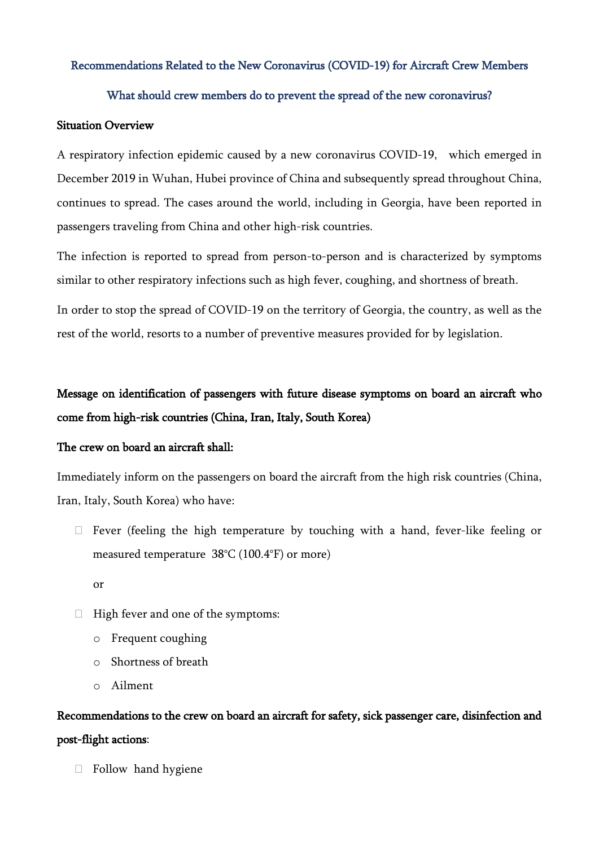### Recommendations Related to the New Coronavirus (COVID-19) for Aircraft Crew Members

#### What should crew members do to prevent the spread of the new coronavirus?

#### Situation Overview

A respiratory infection epidemic caused by a new coronavirus COVID-19, which emerged in December 2019 in Wuhan, Hubei province of China and subsequently spread throughout China, continues to spread. The cases around the world, including in Georgia, have been reported in passengers traveling from China and other high-risk countries.

The infection is reported to spread from person-to-person and is characterized by symptoms similar to other respiratory infections such as high fever, coughing, and shortness of breath.

In order to stop the spread of COVID-19 on the territory of Georgia, the country, as well as the rest of the world, resorts to a number of preventive measures provided for by legislation.

# Message on identification of passengers with future disease symptoms on board an aircraft who come from high-risk countries (China, Iran, Italy, South Korea)

#### The crew on board an aircraft shall:

Immediately inform on the passengers on board the aircraft from the high risk countries (China, Iran, Italy, South Korea) who have:

 $\Box$  Fever (feeling the high temperature by touching with a hand, fever-like feeling or measured temperature 38°C (100.4°F) or more)

or

- $\Box$  High fever and one of the symptoms:
	- o Frequent coughing
	- o Shortness of breath
	- o Ailment

# Recommendations to the crew on board an aircraft for safety, sick passenger care, disinfection and post-flight actions:

 $\Box$  Follow hand hygiene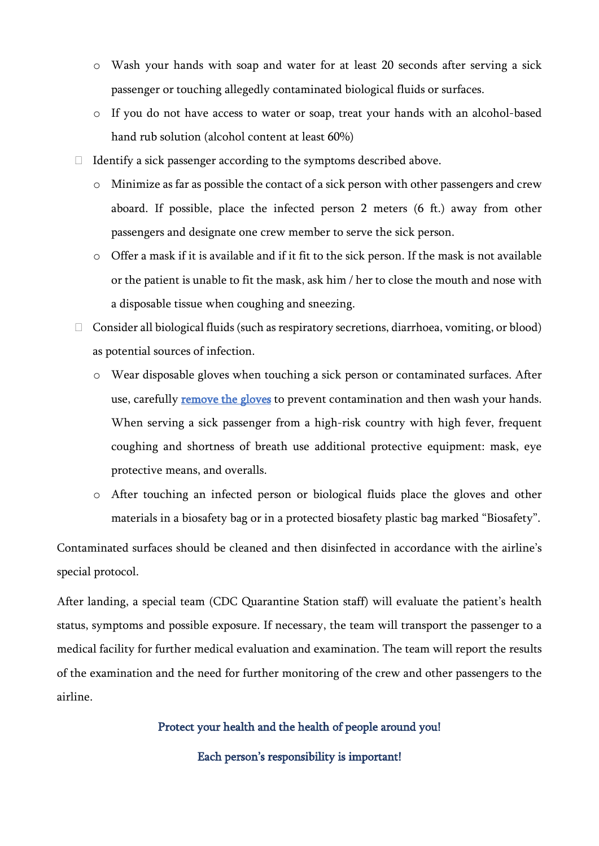- o Wash your hands with soap and water for at least 20 seconds after serving a sick passenger or touching allegedly contaminated biological fluids or surfaces.
- o If you do not have access to water or soap, treat your hands with an alcohol-based hand rub solution (alcohol content at least 60%)
- $\Box$  Identify a sick passenger according to the symptoms described above.
	- o Minimize as far as possible the contact of a sick person with other passengers and crew aboard. If possible, place the infected person 2 meters (6 ft.) away from other passengers and designate one crew member to serve the sick person.
	- o Offer a mask if it is available and if it fit to the sick person. If the mask is not available or the patient is unable to fit the mask, ask him / her to close the mouth and nose with a disposable tissue when coughing and sneezing.
- Consider all biological fluids (such as respiratory secretions, diarrhoea, vomiting, or blood) as potential sources of infection.
	- o Wear disposable gloves when touching a sick person or contaminated surfaces. After use, carefully **remove the gloves** to prevent contamination and then wash your hands. When serving a sick passenger from a high-risk country with high fever, frequent coughing and shortness of breath use additional protective equipment: mask, eye protective means, and overalls.
	- o After touching an infected person or biological fluids place the gloves and other materials in a biosafety bag or in a protected biosafety plastic bag marked "Biosafety".

Contaminated surfaces should be cleaned and then disinfected in accordance with the airline's special protocol.

After landing, a special team (CDC Quarantine Station staff) will evaluate the patient's health status, symptoms and possible exposure. If necessary, the team will transport the passenger to a medical facility for further medical evaluation and examination. The team will report the results of the examination and the need for further monitoring of the crew and other passengers to the airline.

Protect your health and the health of people around you!

Each person's responsibility is important!